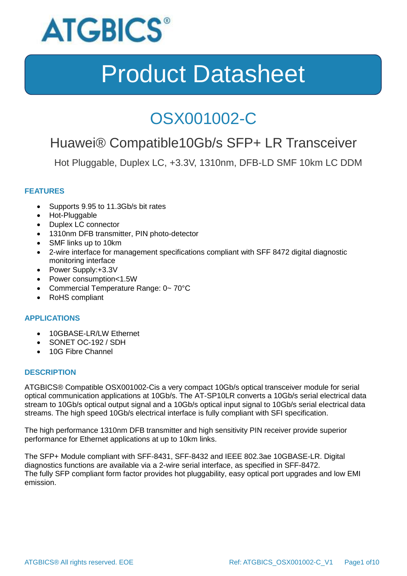

### OSX001002-C

### Huawei® Compatible10Gb/s SFP+ LR Transceiver

Hot Pluggable, Duplex LC, +3.3V, 1310nm, DFB-LD SMF 10km LC DDM

### **FEATURES**

- Supports 9.95 to 11.3Gb/s bit rates
- Hot-Pluggable
- Duplex LC connector
- 1310nm DFB transmitter, PIN photo-detector
- SMF links up to 10km
- 2-wire interface for management specifications compliant with SFF 8472 digital diagnostic monitoring interface
- Power Supply:+3.3V
- Power consumption<1.5W
- Commercial Temperature Range: 0~70°C
- RoHS compliant

#### **APPLICATIONS**

- 10GBASE-LR/LW Ethernet
- SONET OC-192 / SDH
- 10G Fibre Channel

#### **DESCRIPTION**

ATGBICS® Compatible OSX001002-Cis a very compact 10Gb/s optical transceiver module for serial optical communication applications at 10Gb/s. The AT-SP10LR converts a 10Gb/s serial electrical data stream to 10Gb/s optical output signal and a 10Gb/s optical input signal to 10Gb/s serial electrical data streams. The high speed 10Gb/s electrical interface is fully compliant with SFI specification.

The high performance 1310nm DFB transmitter and high sensitivity PIN receiver provide superior performance for Ethernet applications at up to 10km links.

The SFP+ Module compliant with SFF-8431, SFF-8432 and IEEE 802.3ae 10GBASE-LR. Digital diagnostics functions are available via a 2-wire serial interface, as specified in SFF-8472. The fully SFP compliant form factor provides hot pluggability, easy optical port upgrades and low EMI emission.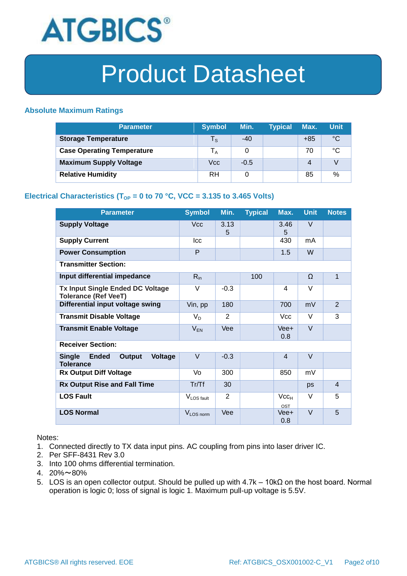

#### **Absolute Maximum Ratings**

| <b>Parameter</b>                  | <b>Symbol</b>           | Min.   | <b>Typical</b> | Max.  | <b>Unit</b> |
|-----------------------------------|-------------------------|--------|----------------|-------|-------------|
| <b>Storage Temperature</b>        | $\mathsf{T}_\mathsf{S}$ | $-40$  |                | $+85$ | °C          |
| <b>Case Operating Temperature</b> | l <sub>A</sub>          | 0      |                | 70    | °C          |
| <b>Maximum Supply Voltage</b>     | Vcc                     | $-0.5$ |                | 4     |             |
| <b>Relative Humidity</b>          | RH                      | 0      |                | 85    | %           |

### **Electrical Characteristics (T<sub>OP</sub> = 0 to 70 °C, VCC = 3.135 to 3.465 Volts)**

| <b>Parameter</b>                                                              | <b>Symbol</b>          | Min.           | <b>Typical</b> | Max.                    | <b>Unit</b> | <b>Notes</b>   |
|-------------------------------------------------------------------------------|------------------------|----------------|----------------|-------------------------|-------------|----------------|
| <b>Supply Voltage</b>                                                         | <b>Vcc</b>             | 3.13<br>5      |                | 3.46<br>5               | V           |                |
| <b>Supply Current</b>                                                         | Icc                    |                |                | 430                     | mA          |                |
| <b>Power Consumption</b>                                                      | P                      |                |                | 1.5                     | W           |                |
| <b>Transmitter Section:</b>                                                   |                        |                |                |                         |             |                |
| Input differential impedance                                                  | $R_{in}$               |                | 100            |                         | Ω           | $\mathbf{1}$   |
| <b>Tx Input Single Ended DC Voltage</b><br><b>Tolerance (Ref VeeT)</b>        | V                      | $-0.3$         |                | 4                       | V           |                |
| Differential input voltage swing                                              | Vin, pp                | 180            |                | 700                     | mV          | $\overline{2}$ |
| <b>Transmit Disable Voltage</b>                                               | $V_D$                  | 2              |                | <b>Vcc</b>              | $\vee$      | 3              |
| <b>Transmit Enable Voltage</b>                                                | $V_{EN}$               | Vee            |                | Vee+<br>0.8             | $\vee$      |                |
| <b>Receiver Section:</b>                                                      |                        |                |                |                         |             |                |
| <b>Single</b><br><b>Ended</b><br>Output<br><b>Voltage</b><br><b>Tolerance</b> | $\vee$                 | $-0.3$         |                | $\overline{4}$          | $\vee$      |                |
| <b>Rx Output Diff Voltage</b>                                                 | Vo                     | 300            |                | 850                     | mV          |                |
| <b>Rx Output Rise and Fall Time</b>                                           | Tr/Tf                  | 30             |                |                         | ps          | $\overline{4}$ |
| <b>LOS Fault</b>                                                              | V <sub>LOS fault</sub> | $\overline{2}$ |                | Vcc <sub>H</sub><br>OST | V           | 5              |
| <b>LOS Normal</b>                                                             | V <sub>LOS</sub> norm  | Vee            |                | Vee+<br>0.8             | $\vee$      | 5              |

Notes:

- 1. Connected directly to TX data input pins. AC coupling from pins into laser driver IC.
- 2. Per SFF-8431 Rev 3.0
- 3. Into 100 ohms differential termination.
- 4. 20%~80%
- 5. LOS is an open collector output. Should be pulled up with 4.7k 10kΩ on the host board. Normal operation is logic 0; loss of signal is logic 1. Maximum pull-up voltage is 5.5V.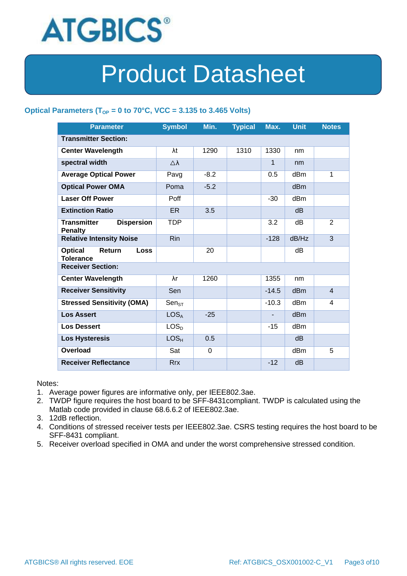

### Optical Parameters ( $T_{OP}$  = 0 to 70°C, VCC = 3.135 to 3.465 Volts)

| <b>Parameter</b>                                            | <b>Symbol</b>       | Min.        | <b>Typical</b> | Max.           | <b>Unit</b>     | <b>Notes</b>   |
|-------------------------------------------------------------|---------------------|-------------|----------------|----------------|-----------------|----------------|
| <b>Transmitter Section:</b>                                 |                     |             |                |                |                 |                |
| <b>Center Wavelength</b>                                    | λt                  | 1290        | 1310           | 1330           | nm              |                |
| spectral width                                              | $\triangle \lambda$ |             |                | 1              | nm              |                |
| <b>Average Optical Power</b>                                | Pavg                | $-8.2$      |                | 0.5            | dBm             | 1              |
| <b>Optical Power OMA</b>                                    | Poma                | $-5.2$      |                |                | dBm             |                |
| <b>Laser Off Power</b>                                      | Poff                |             |                | $-30$          | dB <sub>m</sub> |                |
| <b>Extinction Ratio</b>                                     | ER.                 | 3.5         |                |                | d <sub>B</sub>  |                |
| <b>Transmitter</b><br><b>Dispersion</b><br><b>Penalty</b>   | <b>TDP</b>          |             |                | 3.2            | dВ              | 2              |
| <b>Relative Intensity Noise</b>                             | <b>Rin</b>          |             |                | $-128$         | dB/Hz           | 3              |
| <b>Optical</b><br>Return<br><b>Loss</b><br><b>Tolerance</b> |                     | 20          |                |                | dВ              |                |
| <b>Receiver Section:</b>                                    |                     |             |                |                |                 |                |
| <b>Center Wavelength</b>                                    | λr                  | 1260        |                | 1355           | nm              |                |
| <b>Receiver Sensitivity</b>                                 | Sen                 |             |                | $-14.5$        | d <sub>Bm</sub> | $\overline{4}$ |
| <b>Stressed Sensitivity (OMA)</b>                           | $Sen_{ST}$          |             |                | $-10.3$        | dB <sub>m</sub> | 4              |
| <b>Los Assert</b>                                           | LOS <sub>A</sub>    | $-25$       |                | $\blacksquare$ | d <sub>Bm</sub> |                |
| <b>Los Dessert</b>                                          | LOS <sub>D</sub>    |             |                | $-15$          | dBm             |                |
| <b>Los Hysteresis</b>                                       | LOS <sub>H</sub>    | 0.5         |                |                | d <sub>B</sub>  |                |
| Overload                                                    | Sat                 | $\mathbf 0$ |                |                | dB <sub>m</sub> | 5              |
| <b>Receiver Reflectance</b>                                 | <b>Rrx</b>          |             |                | $-12$          | dB              |                |

Notes:

- 1. Average power figures are informative only, per IEEE802.3ae.
- 2. TWDP figure requires the host board to be SFF-8431compliant. TWDP is calculated using the Matlab code provided in clause 68.6.6.2 of IEEE802.3ae.
- 3. 12dB reflection.
- 4. Conditions of stressed receiver tests per IEEE802.3ae. CSRS testing requires the host board to be SFF-8431 compliant.
- 5. Receiver overload specified in OMA and under the worst comprehensive stressed condition.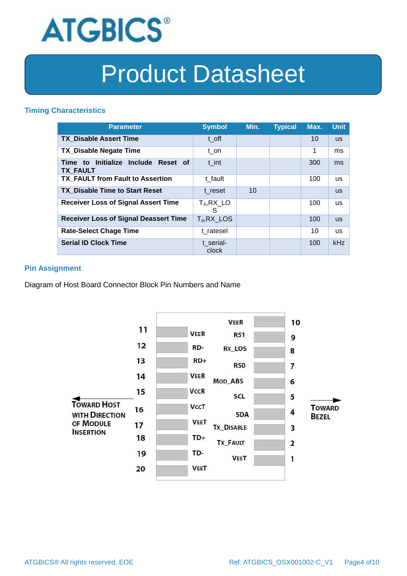

#### **Timing Characteristics**

| <b>Parameter</b>                                       | <b>Symbol</b>      | Min. | <b>Typical</b> | Max. | <b>Unit</b> |
|--------------------------------------------------------|--------------------|------|----------------|------|-------------|
| <b>TX Disable Assert Time</b>                          | t off              |      |                | 10   | <b>US</b>   |
| <b>TX Disable Negate Time</b>                          | t on               |      |                | 1    | ms          |
| Time to Initialize Include Reset of<br><b>TX FAULT</b> | t int              |      |                | 300  | ms          |
| <b>TX FAULT from Fault to Assertion</b>                | t fault            |      |                | 100  | <b>us</b>   |
| <b>TX Disable Time to Start Reset</b>                  | t reset            | 10   |                |      | <b>us</b>   |
| <b>Receiver Loss of Signal Assert Time</b>             | $T_A, RX_L$<br>S   |      |                | 100  | <b>us</b>   |
| <b>Receiver Loss of Signal Deassert Time</b>           | $T_d$ , RX_LOS     |      |                | 100  | <b>us</b>   |
| <b>Rate-Select Chage Time</b>                          | t ratesel          |      |                | 10   | <b>us</b>   |
| <b>Serial ID Clock Time</b>                            | t serial-<br>clock |      |                | 100  | kHz         |

### **Pin Assignment**

Diagram of Host Board Connector Block Pin Numbers and Name

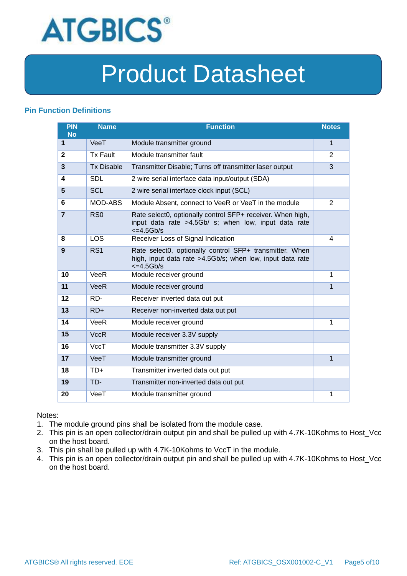

### **Pin Function Definitions**

| PIN<br><b>No</b> | <b>Name</b>       | <b>Function</b>                                                                                                                               | <b>Notes</b>   |
|------------------|-------------------|-----------------------------------------------------------------------------------------------------------------------------------------------|----------------|
| 1                | VeeT              | Module transmitter ground                                                                                                                     | 1              |
| $\mathbf{2}$     | <b>Tx Fault</b>   | Module transmitter fault                                                                                                                      | $\overline{2}$ |
| 3                | <b>Tx Disable</b> | Transmitter Disable; Turns off transmitter laser output                                                                                       | 3              |
| 4                | <b>SDL</b>        | 2 wire serial interface data input/output (SDA)                                                                                               |                |
| 5                | <b>SCL</b>        | 2 wire serial interface clock input (SCL)                                                                                                     |                |
| 6                | MOD-ABS           | Module Absent, connect to VeeR or VeeT in the module                                                                                          | $\overline{2}$ |
| $\overline{7}$   | RSO               | Rate select0, optionally control SFP+ receiver. When high,<br>input data rate >4.5Gb/ s; when low, input data rate<br>$\epsilon$ =4.5Gb/s     |                |
| 8                | LOS               | Receiver Loss of Signal Indication                                                                                                            | 4              |
| 9                | RS <sub>1</sub>   | Rate select0, optionally control SFP+ transmitter. When<br>high, input data rate >4.5Gb/s; when low, input data rate<br>$\epsilon = 4.5$ Gb/s |                |
| 10               | VeeR              | Module receiver ground                                                                                                                        | 1              |
| 11               | <b>VeeR</b>       | Module receiver ground                                                                                                                        | 1              |
| 12               | RD-               | Receiver inverted data out put                                                                                                                |                |
| 13               | $RD+$             | Receiver non-inverted data out put                                                                                                            |                |
| 14               | VeeR              | Module receiver ground                                                                                                                        | 1              |
| 15               | <b>VccR</b>       | Module receiver 3.3V supply                                                                                                                   |                |
| 16               | VccT              | Module transmitter 3.3V supply                                                                                                                |                |
| 17               | VeeT              | Module transmitter ground                                                                                                                     | $\mathbf{1}$   |
| 18               | $TD+$             | Transmitter inverted data out put                                                                                                             |                |
| 19               | TD-               | Transmitter non-inverted data out put                                                                                                         |                |
| 20               | VeeT              | Module transmitter ground                                                                                                                     | 1              |

Notes:

- 1. The module ground pins shall be isolated from the module case.
- 2. This pin is an open collector/drain output pin and shall be pulled up with 4.7K-10Kohms to Host\_Vcc on the host board.
- 3. This pin shall be pulled up with 4.7K-10Kohms to VccT in the module.
- 4. This pin is an open collector/drain output pin and shall be pulled up with 4.7K-10Kohms to Host\_Vcc on the host board.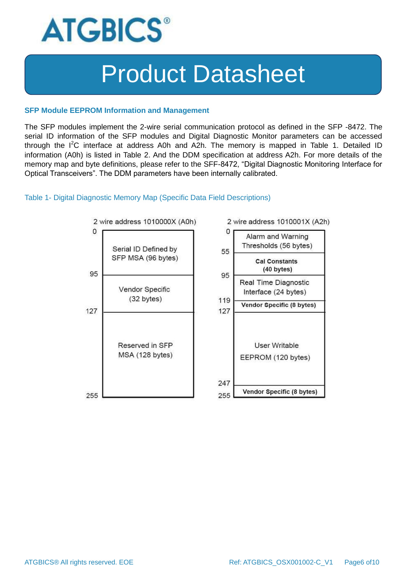

#### **SFP Module EEPROM Information and Management**

The SFP modules implement the 2-wire serial communication protocol as defined in the SFP -8472. The serial ID information of the SFP modules and Digital Diagnostic Monitor parameters can be accessed through the  $I^2C$  interface at address A0h and A2h. The memory is mapped in Table 1. Detailed ID information (A0h) is listed in Table 2. And the DDM specification at address A2h. For more details of the memory map and byte definitions, please refer to the SFF-8472, "Digital Diagnostic Monitoring Interface for Optical Transceivers". The DDM parameters have been internally calibrated.

#### Table 1- Digital Diagnostic Memory Map (Specific Data Field Descriptions)

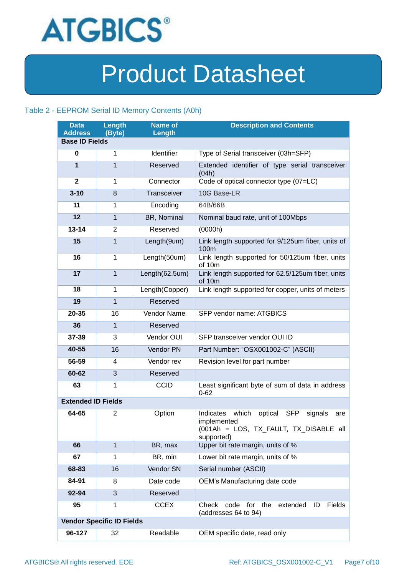

### Table 2 - EEPROM Serial ID Memory Contents (A0h)

| <b>Data</b><br><b>Address</b> | Length<br>(Byte)                 | <b>Name of</b><br>Length | <b>Description and Contents</b>                                                                                                      |
|-------------------------------|----------------------------------|--------------------------|--------------------------------------------------------------------------------------------------------------------------------------|
| <b>Base ID Fields</b>         |                                  |                          |                                                                                                                                      |
| 0                             | 1                                | Identifier               | Type of Serial transceiver (03h=SFP)                                                                                                 |
| $\mathbf{1}$                  | $\mathbf{1}$                     | Reserved                 | Extended identifier of type serial transceiver<br>(04h)                                                                              |
| $\mathbf{2}$                  | $\mathbf{1}$                     | Connector                | Code of optical connector type (07=LC)                                                                                               |
| $3 - 10$                      | 8                                | Transceiver              | 10G Base-LR                                                                                                                          |
| 11                            | 1                                | Encoding                 | 64B/66B                                                                                                                              |
| 12                            | $\mathbf{1}$                     | BR, Nominal              | Nominal baud rate, unit of 100Mbps                                                                                                   |
| $13 - 14$                     | 2                                | Reserved                 | (0000h)                                                                                                                              |
| 15                            | $\mathbf{1}$                     | Length(9um)              | Link length supported for 9/125um fiber, units of<br>100m                                                                            |
| 16                            | $\mathbf{1}$                     | Length(50um)             | Link length supported for 50/125um fiber, units<br>of 10m                                                                            |
| 17                            | $\mathbf{1}$                     | Length(62.5um)           | Link length supported for 62.5/125um fiber, units<br>of 10m                                                                          |
| 18                            | $\mathbf{1}$                     | Length(Copper)           | Link length supported for copper, units of meters                                                                                    |
| 19                            | $\mathbf{1}$                     | Reserved                 |                                                                                                                                      |
| 20-35                         | 16                               | Vendor Name              | SFP vendor name: ATGBICS                                                                                                             |
| 36                            | $\mathbf{1}$                     | Reserved                 |                                                                                                                                      |
| 37-39                         | 3                                | Vendor OUI               | SFP transceiver vendor OUI ID                                                                                                        |
| 40-55                         | 16                               | Vendor PN                | Part Number: "OSX001002-C" (ASCII)                                                                                                   |
| 56-59                         | 4                                | Vendor rev               | Revision level for part number                                                                                                       |
| 60-62                         | 3                                | Reserved                 |                                                                                                                                      |
| 63                            | $\mathbf{1}$                     | <b>CCID</b>              | Least significant byte of sum of data in address<br>$0 - 62$                                                                         |
| <b>Extended ID Fields</b>     |                                  |                          |                                                                                                                                      |
| 64-65                         | $\overline{2}$                   | Option                   | which<br>Indicates<br>optical<br><b>SFP</b><br>signals<br>are<br>implemented<br>(001Ah = LOS, TX_FAULT, TX_DISABLE all<br>supported) |
| 66                            | $\mathbf{1}$                     | BR, max                  | Upper bit rate margin, units of %                                                                                                    |
| 67                            | 1                                | BR, min                  | Lower bit rate margin, units of %                                                                                                    |
| 68-83                         | 16                               | Vendor SN                | Serial number (ASCII)                                                                                                                |
| 84-91                         | 8                                | Date code                | OEM's Manufacturing date code                                                                                                        |
| 92-94                         | 3                                | Reserved                 |                                                                                                                                      |
| 95                            | 1                                | <b>CCEX</b>              | Check<br>for<br>the<br>extended<br>Fields<br>code<br>ID<br>(addresses 64 to 94)                                                      |
|                               | <b>Vendor Specific ID Fields</b> |                          |                                                                                                                                      |
| 96-127                        | 32                               | Readable                 | OEM specific date, read only                                                                                                         |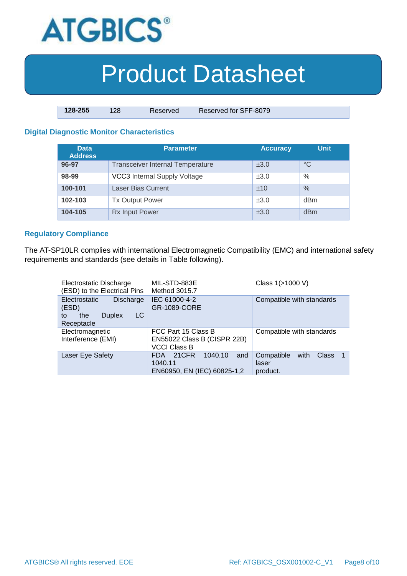

| $128 - 255$ | 128 | Reserved | Reserved for SFF-8079 |
|-------------|-----|----------|-----------------------|

### **Digital Diagnostic Monitor Characteristics**

| <b>Data</b><br><b>Address</b> | Parameter                               | <b>Accuracy</b> | <b>Unit</b> |
|-------------------------------|-----------------------------------------|-----------------|-------------|
| 96-97                         | <b>Transceiver Internal Temperature</b> | ±3.0            | $^{\circ}C$ |
| 98-99                         | <b>VCC3</b> Internal Supply Voltage     | ±3.0            | $\%$        |
| 100-101                       | <b>Laser Bias Current</b>               | ±10             | $\%$        |
| 102-103                       | <b>Tx Output Power</b>                  | ±3.0            | dBm         |
| 104-105                       | <b>Rx Input Power</b>                   | ±3.0            | dBm         |

#### **Regulatory Compliance**

The AT-SP10LR complies with international Electromagnetic Compatibility (EMC) and international safety requirements and standards (see details in Table following).

| Electrostatic Discharge<br>(ESD) to the Electrical Pins                                      | MIL-STD-883E<br>Method 3015.7                                             | Class 1(>1000 V)                                       |
|----------------------------------------------------------------------------------------------|---------------------------------------------------------------------------|--------------------------------------------------------|
| <b>Electrostatic</b><br>Discharge<br>(ESD)<br>LC<br><b>Duplex</b><br>the<br>to<br>Receptacle | IEC 61000-4-2<br>GR-1089-CORE                                             | Compatible with standards                              |
| Electromagnetic<br>Interference (EMI)                                                        | FCC Part 15 Class B<br>EN55022 Class B (CISPR 22B)<br><b>VCCI Class B</b> | Compatible with standards                              |
| Laser Eye Safety                                                                             | 21CFR<br>1040.10<br>and<br>FDA.<br>1040.11<br>EN60950, EN (IEC) 60825-1,2 | Compatible<br>Class<br>with<br>-1<br>laser<br>product. |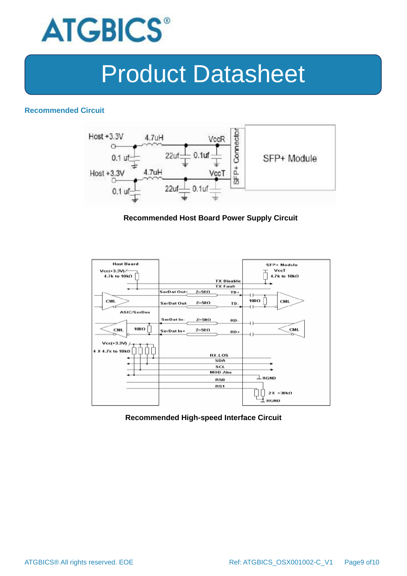

#### **Recommended Circuit**



#### **Recommended Host Board Power Supply Circuit**



#### **Recommended High-speed Interface Circuit**